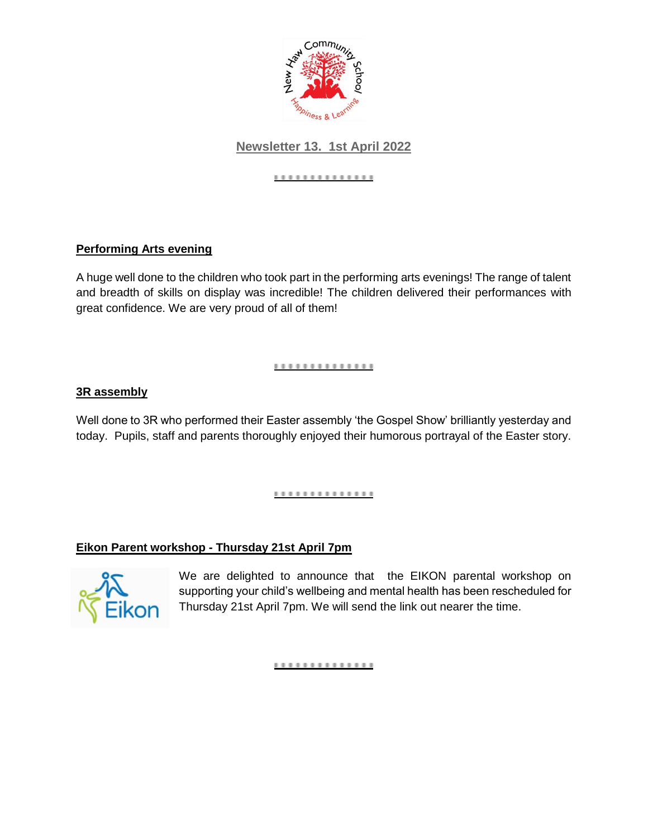

# **Newsletter 13. 1st April 2022**

#### ..............

## **Performing Arts evening**

A huge well done to the children who took part in the performing arts evenings! The range of talent and breadth of skills on display was incredible! The children delivered their performances with great confidence. We are very proud of all of them!

### ..............

### **3R assembly**

Well done to 3R who performed their Easter assembly 'the Gospel Show' brilliantly yesterday and today. Pupils, staff and parents thoroughly enjoyed their humorous portrayal of the Easter story.

#### <u>...............</u>

## **Eikon Parent workshop - Thursday 21st April 7pm**



We are delighted to announce that the EIKON parental workshop on supporting your child's wellbeing and mental health has been rescheduled for Thursday 21st April 7pm. We will send the link out nearer the time.

#### ..............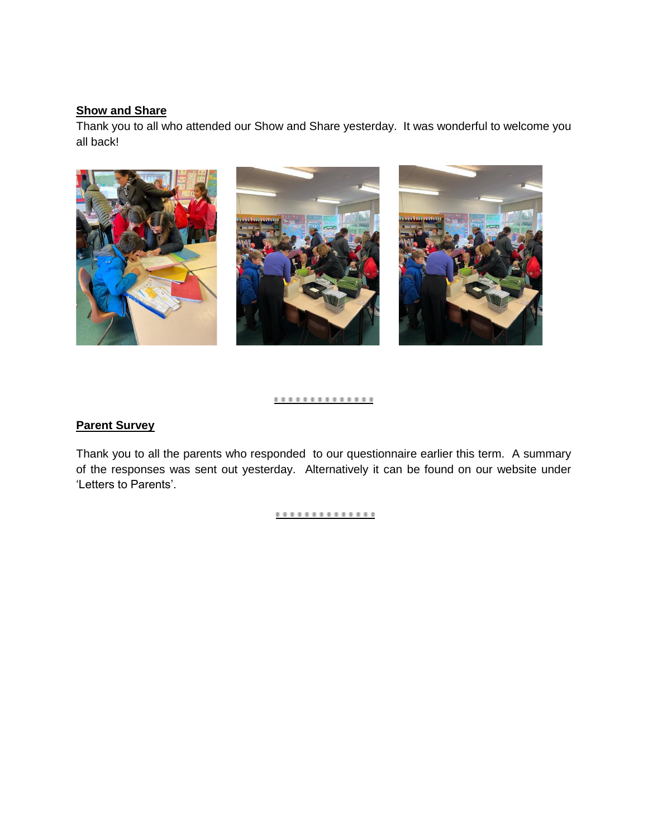## **Show and Share**

Thank you to all who attended our Show and Share yesterday. It was wonderful to welcome you all back!



#### ..............

### **Parent Survey**

Thank you to all the parents who responded to our questionnaire earlier this term. A summary of the responses was sent out yesterday. Alternatively it can be found on our website under 'Letters to Parents'.

#### <u>..............</u>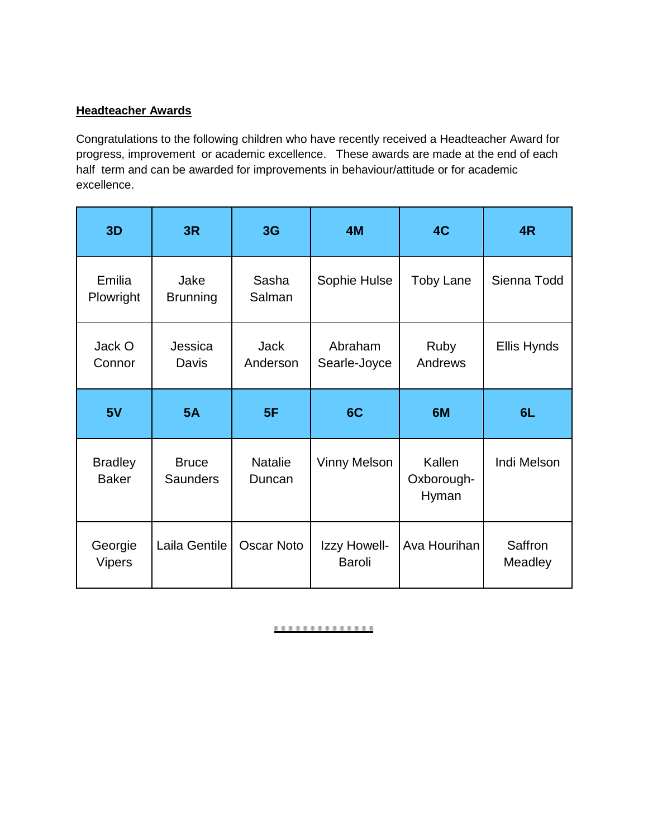## **Headteacher Awards**

Congratulations to the following children who have recently received a Headteacher Award for progress, improvement or academic excellence. These awards are made at the end of each half term and can be awarded for improvements in behaviour/attitude or for academic excellence.

| 3D                             | 3R                              | 3G                       | 4M                      | 4C                            | 4R          |
|--------------------------------|---------------------------------|--------------------------|-------------------------|-------------------------------|-------------|
| Emilia<br>Plowright            | Jake<br><b>Brunning</b>         | Sasha<br>Salman          | Sophie Hulse            | <b>Toby Lane</b>              | Sienna Todd |
| Jack O<br>Connor               | Jessica<br>Davis                | <b>Jack</b><br>Anderson  | Abraham<br>Searle-Joyce | Ruby<br>Andrews               | Ellis Hynds |
|                                |                                 |                          |                         |                               |             |
| 5V                             | <b>5A</b>                       | 5F                       | 6C                      | 6M                            | 6L          |
| <b>Bradley</b><br><b>Baker</b> | <b>Bruce</b><br><b>Saunders</b> | <b>Natalie</b><br>Duncan | <b>Vinny Melson</b>     | Kallen<br>Oxborough-<br>Hyman | Indi Melson |

#### <u>..............</u>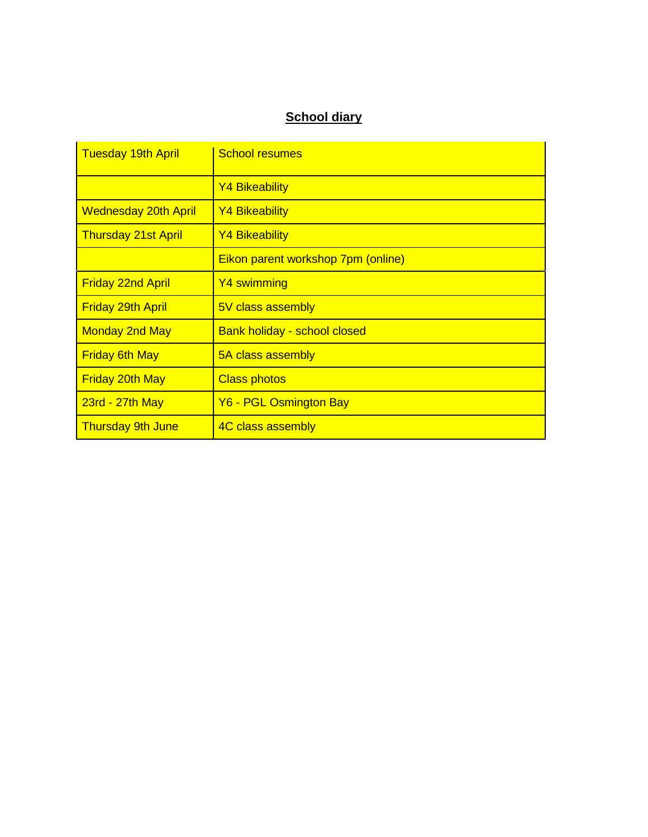# **School diary**

| <b>Tuesday 19th April</b>   | <b>School resumes</b>               |
|-----------------------------|-------------------------------------|
|                             | <b>Y4 Bikeability</b>               |
| <b>Wednesday 20th April</b> | <b>Y4 Bikeability</b>               |
| <b>Thursday 21st April</b>  | <b>Y4 Bikeability</b>               |
|                             | Eikon parent workshop 7pm (online)  |
| <b>Friday 22nd April</b>    | Y4 swimming                         |
| <b>Friday 29th April</b>    | 5V class assembly                   |
| <b>Monday 2nd May</b>       | <b>Bank holiday - school closed</b> |
| <b>Friday 6th May</b>       | 5A class assembly                   |
| <b>Friday 20th May</b>      | <b>Class photos</b>                 |
| $23rd - 27th$ May           | Y6 - PGL Osmington Bay              |
| <b>Thursday 9th June</b>    | 4C class assembly                   |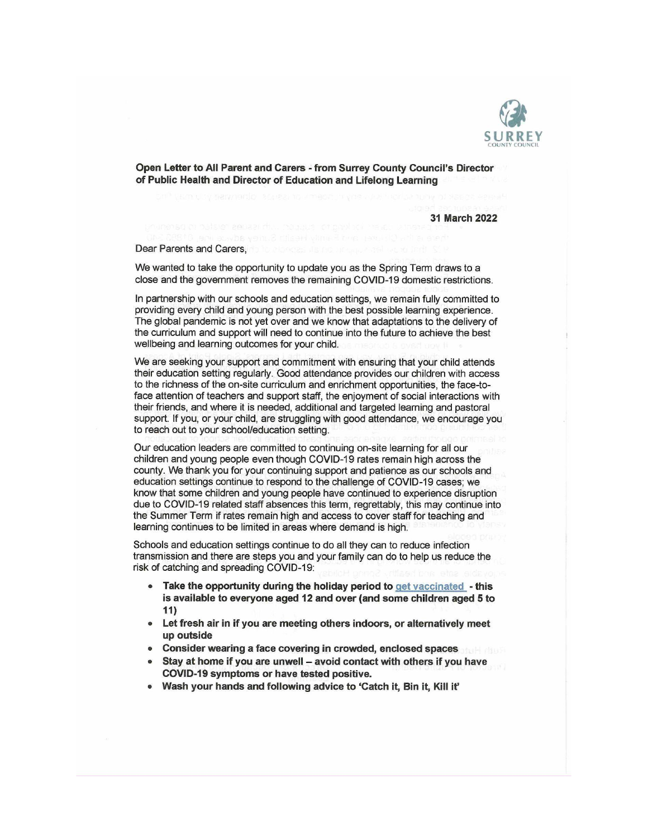

Open Letter to All Parent and Carers - from Surrey County Council's Director of Public Health and Director of Education and Lifelong Learning

31 March 2022

Dear Parents and Carers.

We wanted to take the opportunity to update you as the Spring Term draws to a close and the government removes the remaining COVID-19 domestic restrictions.

In partnership with our schools and education settings, we remain fully committed to providing every child and young person with the best possible learning experience. The global pandemic is not yet over and we know that adaptations to the delivery of the curriculum and support will need to continue into the future to achieve the best wellbeing and learning outcomes for your child.

We are seeking your support and commitment with ensuring that your child attends their education setting regularly. Good attendance provides our children with access to the richness of the on-site curriculum and enrichment opportunities, the face-toface attention of teachers and support staff, the enjoyment of social interactions with their friends, and where it is needed, additional and targeted learning and pastoral support. If you, or your child, are struggling with good attendance, we encourage you to reach out to your school/education setting.

Our education leaders are committed to continuing on-site learning for all our children and young people even though COVID-19 rates remain high across the county. We thank you for your continuing support and patience as our schools and education settings continue to respond to the challenge of COVID-19 cases; we know that some children and young people have continued to experience disruption due to COVID-19 related staff absences this term, regrettably, this may continue into the Summer Term if rates remain high and access to cover staff for teaching and learning continues to be limited in areas where demand is high.

Schools and education settings continue to do all they can to reduce infection transmission and there are steps you and your family can do to help us reduce the risk of catching and spreading COVID-19:

- Take the opportunity during the holiday period to get vaccinated this is available to everyone aged 12 and over (and some children aged 5 to  $11)$
- Let fresh air in if you are meeting others indoors, or alternatively meet up outside
- Consider wearing a face covering in crowded, enclosed spaces
- Stay at home if you are unwell avoid contact with others if you have COVID-19 symptoms or have tested positive.
- Wash your hands and following advice to 'Catch it, Bin it, Kill it'